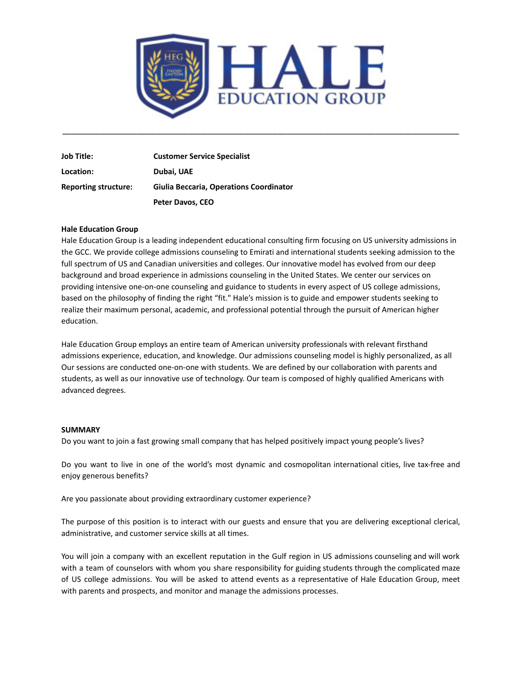

\_\_\_\_\_\_\_\_\_\_\_\_\_\_\_\_\_\_\_\_\_\_\_\_\_\_\_\_\_\_\_\_\_\_\_\_\_\_\_\_\_\_\_\_\_\_\_\_\_\_\_\_\_\_\_\_\_\_\_\_\_\_\_\_\_\_\_\_\_\_\_\_\_\_\_\_\_\_\_\_\_\_\_\_\_

**Job Title: Customer Service Specialist Location: Dubai, UAE Reporting structure: Giulia Beccaria, Operations Coordinator Peter Davos, CEO**

## **Hale Education Group**

Hale Education Group is a leading independent educational consulting firm focusing on US university admissions in the GCC. We provide college admissions counseling to Emirati and international students seeking admission to the full spectrum of US and Canadian universities and colleges. Our innovative model has evolved from our deep background and broad experience in admissions counseling in the United States. We center our services on providing intensive one-on-one counseling and guidance to students in every aspect of US college admissions, based on the philosophy of finding the right "fit." Hale's mission is to guide and empower students seeking to realize their maximum personal, academic, and professional potential through the pursuit of American higher education.

Hale Education Group employs an entire team of American university professionals with relevant firsthand admissions experience, education, and knowledge. Our admissions counseling model is highly personalized, as all Our sessions are conducted one-on-one with students. We are defined by our collaboration with parents and students, as well as our innovative use of technology. Our team is composed of highly qualified Americans with advanced degrees.

#### **SUMMARY**

Do you want to join a fast growing small company that has helped positively impact young people's lives?

Do you want to live in one of the world's most dynamic and cosmopolitan international cities, live tax-free and enjoy generous benefits?

Are you passionate about providing extraordinary customer experience?

The purpose of this position is to interact with our guests and ensure that you are delivering exceptional clerical, administrative, and customer service skills at all times.

You will join a company with an excellent reputation in the Gulf region in US admissions counseling and will work with a team of counselors with whom you share responsibility for guiding students through the complicated maze of US college admissions. You will be asked to attend events as a representative of Hale Education Group, meet with parents and prospects, and monitor and manage the admissions processes.